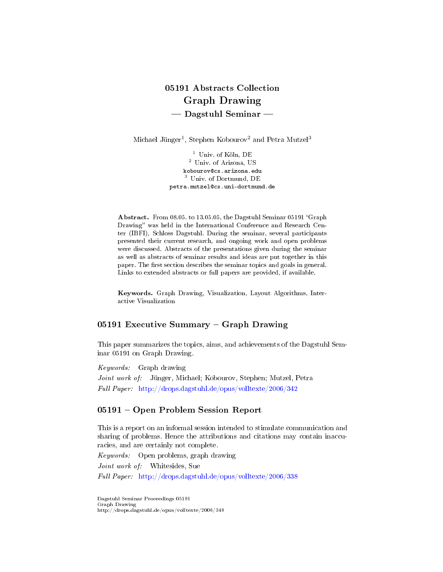# 05191 Abstracts Collection Graph Drawing  $\rightharpoonup$  Dagstuhl Seminar  $\rightharpoonup$

Michael Jünger<sup>1</sup>, Stephen Kobourov<sup>2</sup> and Petra Mutzel<sup>3</sup>

<sup>1</sup> Univ. of Köln, DE <sup>2</sup> Univ. of Arizona, US kobourov@cs.arizona.edu <sup>3</sup> Univ. of Dortmund, DE petra.mutzel@cs.uni-dortmund.de

Abstract. From 08.05. to 13.05.05, the Dagstuhl Seminar 05191 "Graph Drawing" was held in the International Conference and Research Center (IBFI), Schloss Dagstuhl. During the seminar, several participants presented their current research, and ongoing work and open problems were discussed. Abstracts of the presentations given during the seminar as well as abstracts of seminar results and ideas are put together in this paper. The first section describes the seminar topics and goals in general. Links to extended abstracts or full papers are provided, if available.

Keywords. Graph Drawing, Visualization, Layout Algorithms, Interactive Visualization

### 05191 Executive Summary  $-$  Graph Drawing

This paper summarizes the topics, aims, and achievements of the Dagstuhl Seminar 05191 on Graph Drawing.

Keywords: Graph drawing

Joint work of: Jünger, Michael; Kobourov, Stephen; Mutzel, Petra Full Paper: <http://drops.dagstuhl.de/opus/volltexte/2006/342>

#### 05191 Open Problem Session Report

This is a report on an informal session intended to stimulate communication and sharing of problems. Hence the attributions and citations may contain inaccuracies, and are certainly not complete.

Keywords: Open problems, graph drawing Joint work of: Whitesides, Sue Full Paper: <http://drops.dagstuhl.de/opus/volltexte/2006/338>

Dagstuhl Seminar Proceedings 05191 Graph Drawing http://drops.dagstuhl.de/opus/volltexte/2006/348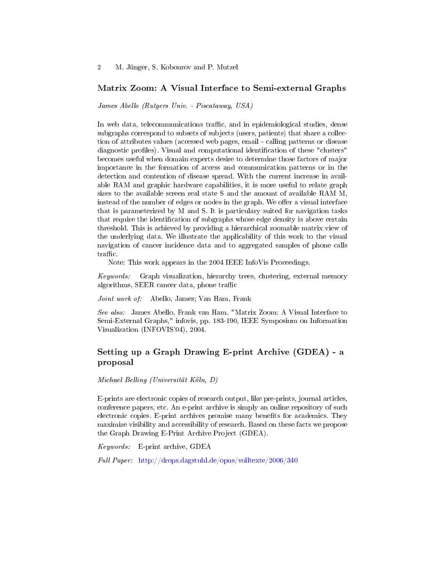#### Matrix Zoom: A Visual Interface to Semi-external Graphs

James Abello (Rutgers Univ. - Piscataway, USA)

In web data, telecommunications traffic, and in epidemiological studies, dense subgraphs correspond to subsets of subjects (users, patients) that share a collection of attributes values (accessed web pages, email - calling patterns or disease diagnostic profiles). Visual and computational identification of these "clusters" becomes useful when domain experts desire to determine those factors of major importance in the formation of access and communication patterns or in the detection and contention of disease spread. With the current increase in available RAM and graphic hardware capabilities, it is more useful to relate graph sizes to the available screen real state S and the amount of available RAM M, instead of the number of edges or nodes in the graph. We offer a visual interface that is parameterized by M and S. It is particulary suited for navigation tasks that require the identification of subgraphs whose edge density is above certain threshold. This is achieved by providing a hierarchical zoomable matrix view of the underlying data. We illustrate the applicability of this work to the visual navigation of cancer incidence data and to aggregated samples of phone calls  $traffic.$ 

Note: This work appears in the 2004 IEEE InfoVis Proceedings.

Keywords: Graph visualization, hierarchy trees, clustering, external memory  $algorithms, SEER cancer data, phone traffic$ 

Joint work of: Abello, James; Van Ham, Frank

See also: James Abello, Frank van Ham. "Matrix Zoom: A Visual Interface to Semi-External Graphs," infovis, pp. 183-190, IEEE Symposium on Information Visualization (INFOVIS'04), 2004.

# Setting up a Graph Drawing E-print Archive (GDEA) - a proposal

Michael Belling (Universität Köln, D)

E-prints are electronic copies of research output, like pre-prints, journal articles, conference papers, etc. An e-print archive is simply an online repository of such electronic copies. E-print archives promise many benefits for academics. They maximize visibility and accessibility of research. Based on these facts we propose the Graph Drawing E-Print Archive Project (GDEA).

Keywords: E-print archive, GDEA

Full Paper: <http://drops.dagstuhl.de/opus/volltexte/2006/340>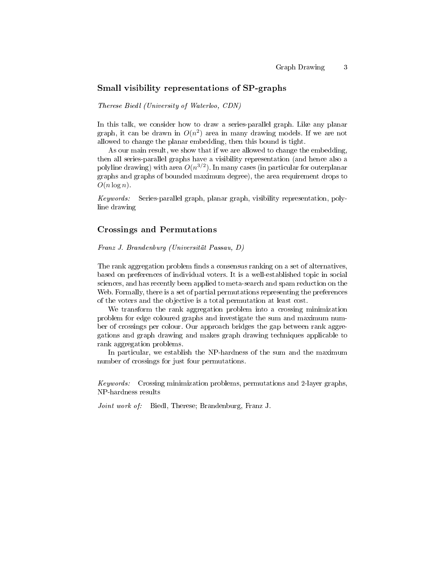#### Small visibility representations of SP-graphs

Therese Biedl (University of Waterloo, CDN)

In this talk, we consider how to draw a series-parallel graph. Like any planar graph, it can be drawn in  $O(n^2)$  area in many drawing models. If we are not allowed to change the planar embedding, then this bound is tight.

As our main result, we show that if we are allowed to change the embedding, then all series-parallel graphs have a visibility representation (and hence also a polyline drawing) with area  $O(n^{3/2})$ . In many cases (in particular for outerplanar graphs and graphs of bounded maximum degree), the area requirement drops to  $O(n \log n)$ .

Keywords: Series-parallel graph, planar graph, visibility representation, polyline drawing

#### Crossings and Permutations

Franz J. Brandenburg (Universität Passau, D)

The rank aggregation problem finds a consensus ranking on a set of alternatives, based on preferences of individual voters. It is a well-established topic in social sciences, and has recently been applied to meta-search and spam reduction on the Web. Formally, there is a set of partial permutations representing the preferences of the voters and the objective is a total permutation at least cost.

We transform the rank aggregation problem into a crossing minimization problem for edge coloured graphs and investigate the sum and maximum number of crossings per colour. Our approach bridges the gap between rank aggregations and graph drawing and makes graph drawing techniques applicable to rank aggregation problems.

In particular, we establish the NP-hardness of the sum and the maximum number of crossings for just four permutations.

Keywords: Crossing minimization problems, permutations and 2-layer graphs, NP-hardness results

Joint work of: Biedl, Therese; Brandenburg, Franz J.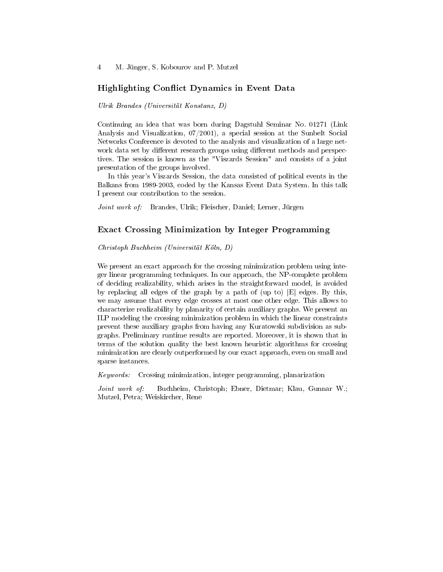# Highlighting Conflict Dynamics in Event Data

Ulrik Brandes (Universität Konstanz, D)

Continuing an idea that was born during Dagstuhl Seminar No. 01271 (Link Analysis and Visualization, 07/2001), a special session at the Sunbelt Social Networks Conference is devoted to the analysis and visualization of a large network data set by different research groups using different methods and perspectives. The session is known as the "Viszards Session" and consists of a joint presentation of the groups involved.

In this year's Viszards Session, the data consisted of political events in the Balkans from 1989-2003, coded by the Kansas Event Data System. In this talk I present our contribution to the session.

Joint work of: Brandes, Ulrik; Fleischer, Daniel; Lerner, Jürgen

### Exact Crossing Minimization by Integer Programming

Christoph Buchheim (Universität Köln, D)

We present an exact approach for the crossing minimization problem using integer linear programming techniques. In our approach, the NP-complete problem of deciding realizability, which arises in the straightforward model, is avoided by replacing all edges of the graph by a path of (up to)  $|E|$  edges. By this, we may assume that every edge crosses at most one other edge. This allows to characterize realizability by planarity of certain auxiliary graphs. We present an ILP modeling the crossing minimization problem in which the linear constraints prevent these auxiliary graphs from having any Kuratowski subdivision as subgraphs. Preliminary runtime results are reported. Moreover, it is shown that in terms of the solution quality the best known heuristic algorithms for crossing minimization are clearly outperformed by our exact approach, even on small and sparse instances.

Keywords: Crossing minimization, integer programming, planarization

Joint work of: Buchheim, Christoph; Ebner, Dietmar; Klau, Gunnar W.; Mutzel, Petra; Weiskircher, Rene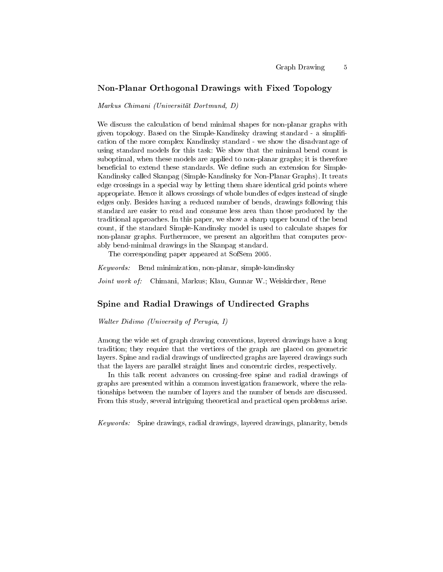## Non-Planar Orthogonal Drawings with Fixed Topology

Markus Chimani (Universität Dortmund, D)

We discuss the calculation of bend minimal shapes for non-planar graphs with given topology. Based on the Simple-Kandinsky drawing standard - a simpli cation of the more complex Kandinsky standard - we show the disadvantage of using standard models for this task: We show that the minimal bend count is suboptimal, when these models are applied to non-planar graphs; it is therefore beneficial to extend these standards. We define such an extension for Simple-Kandinsky called Skanpag (Simple-Kandinsky for Non-Planar Graphs). It treats edge crossings in a special way by letting them share identical grid points where appropriate. Hence it allows crossings of whole bundles of edges instead of single edges only. Besides having a reduced number of bends, drawings following this standard are easier to read and consume less area than those produced by the traditional approaches. In this paper, we show a sharp upper bound of the bend count, if the standard Simple-Kandinsky model is used to calculate shapes for non-planar graphs. Furthermore, we present an algorithm that computes provably bend-minimal drawings in the Skanpag standard.

The corresponding paper appeared at SofSem 2005.

Keywords: Bend minimization, non-planar, simple-kandinsky

Joint work of: Chimani, Markus; Klau, Gunnar W.; Weiskircher, Rene

### Spine and Radial Drawings of Undirected Graphs

Walter Didimo (University of Perugia, I)

Among the wide set of graph drawing conventions, layered drawings have a long tradition; they require that the vertices of the graph are placed on geometric layers. Spine and radial drawings of undirected graphs are layered drawings such that the layers are parallel straight lines and concentric circles, respectively.

In this talk recent advances on crossing-free spine and radial drawings of graphs are presented within a common investigation framework, where the relationships between the number of layers and the number of bends are discussed. From this study, several intriguing theoretical and practical open problems arise.

Keywords: Spine drawings, radial drawings, layered drawings, planarity, bends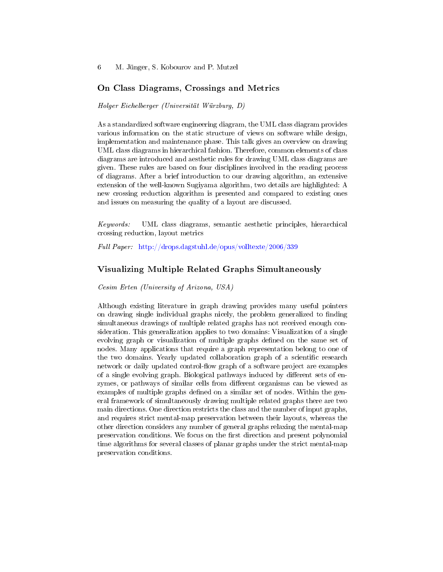6 M. Jünger, S. Kobourov and P. Mutzel

#### On Class Diagrams, Crossings and Metrics

Holger Eichelberger (Universität Würzburg, D)

As a standardized software engineering diagram, the UML class diagram provides various information on the static structure of views on software while design, implementation and maintenance phase. This talk gives an overview on drawing UML class diagrams in hierarchical fashion. Therefore, common elements of class diagrams are introduced and aesthetic rules for drawing UML class diagrams are given. These rules are based on four disciplines involved in the reading process of diagrams. After a brief introduction to our drawing algorithm, an extensive extension of the well-known Sugiyama algorithm, two details are highlighted: A new crossing reduction algorithm is presented and compared to existing ones and issues on measuring the quality of a layout are discussed.

Keywords: UML class diagrams, semantic aesthetic principles, hierarchical crossing reduction, layout metrics

Full Paper: <http://drops.dagstuhl.de/opus/volltexte/2006/339>

#### Visualizing Multiple Related Graphs Simultaneously

Cesim Erten (University of Arizona, USA)

Although existing literature in graph drawing provides many useful pointers on drawing single individual graphs nicely, the problem generalized to finding simultaneous drawings of multiple related graphs has not received enough consideration. This generalization applies to two domains: Visualization of a single evolving graph or visualization of multiple graphs defined on the same set of nodes. Many applications that require a graph representation belong to one of the two domains. Yearly updated collaboration graph of a scientific research network or daily updated control-flow graph of a software project are examples of a single evolving graph. Biological pathways induced by different sets of enzymes, or pathways of similar cells from different organisms can be viewed as examples of multiple graphs defined on a similar set of nodes. Within the general framework of simultaneously drawing multiple related graphs there are two main directions. One direction restricts the class and the number of input graphs, and requires strict mental-map preservation between their layouts, whereas the other direction considers any number of general graphs relaxing the mental-map preservation conditions. We focus on the first direction and present polynomial time algorithms for several classes of planar graphs under the strict mental-map preservation conditions.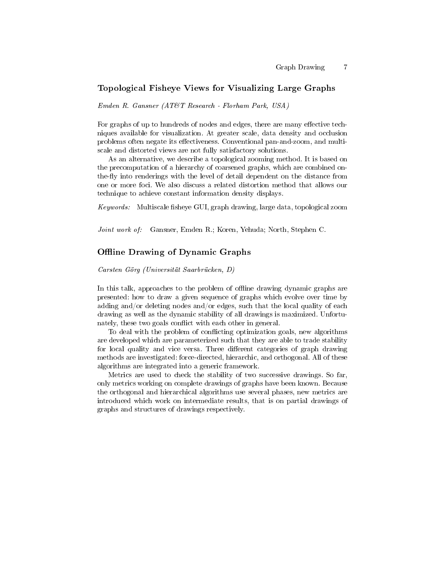# Topological Fisheye Views for Visualizing Large Graphs

Emden R. Gansner (AT&T Research - Florham Park, USA)

For graphs of up to hundreds of nodes and edges, there are many effective techniques available for visualization. At greater scale, data density and occlusion problems often negate its effectiveness. Conventional pan-and-zoom, and multiscale and distorted views are not fully satisfactory solutions.

As an alternative, we describe a topological zooming method. It is based on the precomputation of a hierarchy of coarsened graphs, which are combined onthe-fly into renderings with the level of detail dependent on the distance from one or more foci. We also discuss a related distortion method that allows our technique to achieve constant information density displays.

 $Keywords:$  Multiscale fisheye GUI, graph drawing, large data, topological zoom

Joint work of: Gansner, Emden R.; Koren, Yehuda; North, Stephen C.

### Offline Drawing of Dynamic Graphs

Carsten Görg (Universität Saarbrücken, D)

In this talk, approaches to the problem of offline drawing dynamic graphs are presented: how to draw a given sequence of graphs which evolve over time by adding and/or deleting nodes and/or edges, such that the local quality of each drawing as well as the dynamic stability of all drawings is maximized. Unfortunately, these two goals conflict with each other in general.

To deal with the problem of conflicting optimization goals, new algorithms are developed which are parameterized such that they are able to trade stability for local quality and vice versa. Three different categories of graph drawing methods are investigated: force-directed, hierarchic, and orthogonal. All of these algorithms are integrated into a generic framework.

Metrics are used to check the stability of two successive drawings. So far, only metrics working on complete drawings of graphs have been known. Because the orthogonal and hierarchical algorithms use several phases, new metrics are introduced which work on intermediate results, that is on partial drawings of graphs and structures of drawings respectively.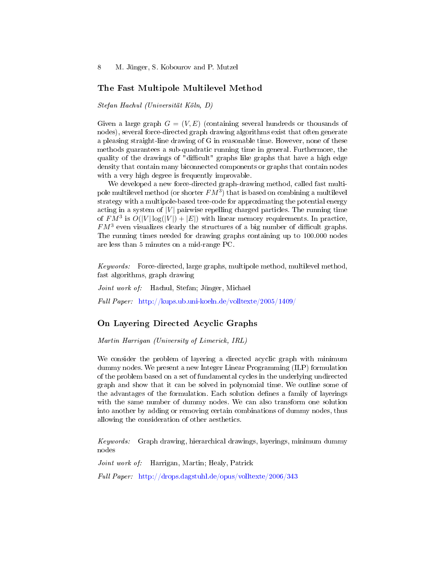8 M. Jünger, S. Kobourov and P. Mutzel

### The Fast Multipole Multilevel Method

Stefan Hachul (Universität Köln, D)

Given a large graph  $G = (V, E)$  (containing several hundreds or thousands of nodes), several force-directed graph drawing algorithms exist that often generate a pleasing straight-line drawing of G in reasonable time. However, none of these methods guarantees a sub-quadratic running time in general. Furthermore, the quality of the drawings of "difficult" graphs like graphs that have a high edge density that contain many biconnected components or graphs that contain nodes with a very high degree is frequently improvable.

We developed a new force-directed graph-drawing method, called fast multipole multilevel method (or shorter  $FM^3$ ) that is based on combining a multilevel strategy with a multipole-based tree-code for approximating the potential energy acting in a system of  $|V|$  pairwise repelling charged particles. The running time of  $FM^3$  is  $O(|V|\log(|V|) + |E|)$  with linear memory requirements. In practice,  $FM^3$  even visualizes clearly the structures of a big number of difficult graphs. The running times needed for drawing graphs containing up to 100.000 nodes are less than 5 minutes on a mid-range PC.

Keywords: Force-directed, large graphs, multipole method, multilevel method, fast algorithms, graph drawing

Joint work of: Hachul, Stefan; Jünger, Michael

Full Paper: <http://kups.ub.uni-koeln.de/volltexte/2005/1409/>

### On Layering Directed Acyclic Graphs

Martin Harrigan (University of Limerick, IRL)

We consider the problem of layering a directed acyclic graph with minimum dummy nodes. We present a new Integer Linear Programming (ILP) formulation of the problem based on a set of fundamental cycles in the underlying undirected graph and show that it can be solved in polynomial time. We outline some of the advantages of the formulation. Each solution defines a family of layerings with the same number of dummy nodes. We can also transform one solution into another by adding or removing certain combinations of dummy nodes, thus allowing the consideration of other aesthetics.

Keywords: Graph drawing, hierarchical drawings, layerings, minimum dummy nodes

Joint work of: Harrigan, Martin; Healy, Patrick

Full Paper: <http://drops.dagstuhl.de/opus/volltexte/2006/343>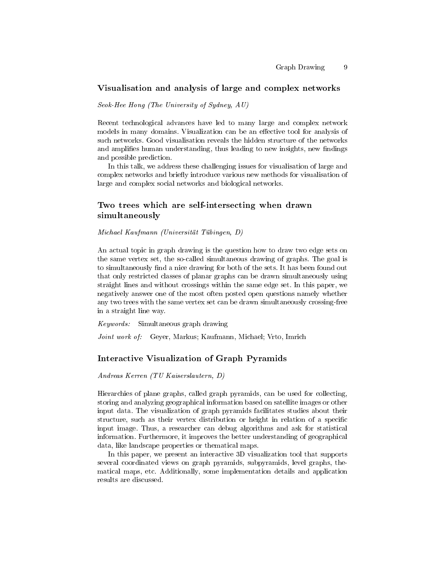#### Visualisation and analysis of large and complex networks

Seok-Hee Hong (The University of Sydney, AU)

Recent technological advances have led to many large and complex network models in many domains. Visualization can be an effective tool for analysis of such networks. Good visualisation reveals the hidden structure of the networks and amplifies human understanding, thus leading to new insights, new findings and possible prediction.

In this talk, we address these challenging issues for visualisation of large and complex networks and briefly introduce various new methods for visualisation of large and complex social networks and biological networks.

# Two trees which are self-intersecting when drawn simultaneously

Michael Kaufmann (Universität Tübingen, D)

An actual topic in graph drawing is the question how to draw two edge sets on the same vertex set, the so-called simultaneous drawing of graphs. The goal is to simultaneously find a nice drawing for both of the sets. It has been found out that only restricted classes of planar graphs can be drawn simultaneously using straight lines and without crossings within the same edge set. In this paper, we negatively answer one of the most often posted open questions namely whether any two trees with the same vertex set can be drawn simultaneously crossing-free in a straight line way.

Keywords: Simultaneous graph drawing

Joint work of: Geyer, Markus; Kaufmann, Michael; Vrto, Imrich

#### Interactive Visualization of Graph Pyramids

Andreas Kerren (TU Kaiserslautern, D)

Hierarchies of plane graphs, called graph pyramids, can be used for collecting, storing and analyzing geographical information based on satellite images or other input data. The visualization of graph pyramids facilitates studies about their structure, such as their vertex distribution or height in relation of a specific input image. Thus, a researcher can debug algorithms and ask for statistical information. Furthermore, it improves the better understanding of geographical data, like landscape properties or thematical maps.

In this paper, we present an interactive 3D visualization tool that supports several coordinated views on graph pyramids, subpyramids, level graphs, thematical maps, etc. Additionally, some implementation details and application results are discussed.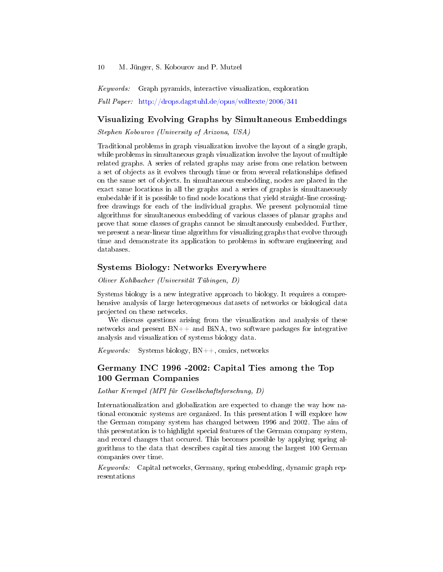Keywords: Graph pyramids, interactive visualization, exploration

Full Paper: <http://drops.dagstuhl.de/opus/volltexte/2006/341>

# Visualizing Evolving Graphs by Simultaneous Embeddings

Stephen Kobourov (University of Arizona, USA)

Traditional problems in graph visualization involve the layout of a single graph, while problems in simultaneous graph visualization involve the layout of multiple related graphs. A series of related graphs may arise from one relation between a set of objects as it evolves through time or from several relationships dened on the same set of objects. In simultaneous embedding, nodes are placed in the exact same locations in all the graphs and a series of graphs is simultaneously embedable if it is possible to find node locations that yield straight-line crossingfree drawings for each of the individual graphs. We present polynomial time algorithms for simultaneous embedding of various classes of planar graphs and prove that some classes of graphs cannot be simultaneously embedded. Further, we present a near-linear time algorithm for visualizing graphs that evolve through time and demonstrate its application to problems in software engineering and databases.

## Systems Biology: Networks Everywhere

Oliver Kohlbacher (Universität Tübingen, D)

Systems biology is a new integrative approach to biology. It requires a comprehensive analysis of large heterogeneous datasets of networks or biological data projected on these networks.

We discuss questions arising from the visualization and analysis of these networks and present  $BN++$  and  $BiNA$ , two software packages for integrative analysis and visualization of systems biology data.

*Keywords:* Systems biology,  $BN++$ , omics, networks

# Germany INC 1996 -2002: Capital Ties among the Top 100 German Companies

Lothar Krempel (MPI für Gesellschaftsforschung, D)

Internationalization and globalization are expected to change the way how national economic systems are organized. In this presentation I will explore how the German company system has changed between 1996 and 2002. The aim of this presentation is to highlight special features of the German company system, and record changes that occured. This becomes possible by applying spring algorithms to the data that describes capital ties among the largest 100 German companies over time.

Keywords: Capital networks, Germany, spring embedding, dynamic graph representations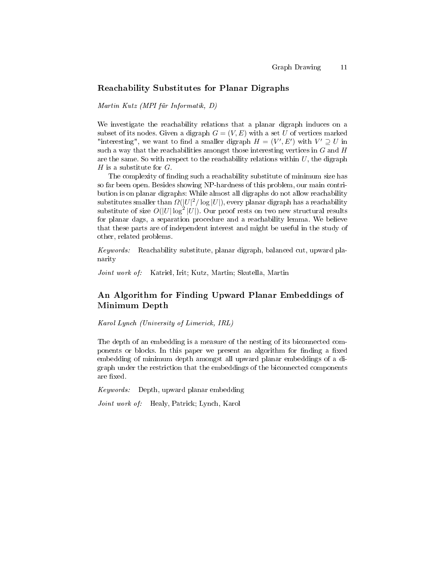#### Reachability Substitutes for Planar Digraphs

Martin Kutz (MPI für Informatik, D)

We investigate the reachability relations that a planar digraph induces on a subset of its nodes. Given a digraph  $G = (V, E)$  with a set U of vertices marked "interesting", we want to find a smaller digraph  $H = (V', E')$  with  $V' \supseteq U$  in such a way that the reachabilities amongst those interesting vertices in  $G$  and  $H$ are the same. So with respect to the reachability relations within  $U$ , the digraph H is a substitute for  $G$ .

The complexity of finding such a reachability substitute of minimum size has so far been open. Besides showing NP-hardness of this problem, our main contribution is on planar digraphs: While almost all digraphs do not allow reachability substitutes smaller than  $\Omega(|U|^2/\log |U|)$ , every planar digraph has a reachability substitute of size  $O(|U|\log^2 |U|)$ . Our proof rests on two new structural results for planar dags, a separation procedure and a reachability lemma. We believe that these parts are of independent interest and might be useful in the study of other, related problems.

Keywords: Reachability substitute, planar digraph, balanced cut, upward planarity

Joint work of: Katriel, Irit; Kutz, Martin; Skutella, Martin

# An Algorithm for Finding Upward Planar Embeddings of Minimum Depth

Karol Lynch (University of Limerick, IRL)

The depth of an embedding is a measure of the nesting of its biconnected components or blocks. In this paper we present an algorithm for finding a fixed embedding of minimum depth amongst all upward planar embeddings of a digraph under the restriction that the embeddings of the biconnected components are fixed.

Keywords: Depth, upward planar embedding

Joint work of: Healy, Patrick; Lynch, Karol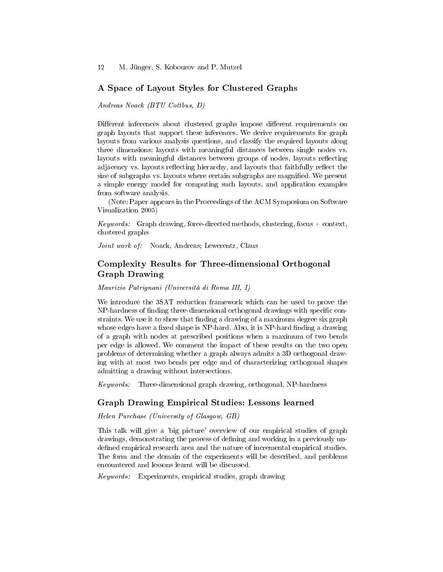# A Space of Layout Styles for Clustered Graphs

Andreas Noack (BTU Cottbus, D)

Different inferences about clustered graphs impose different requirements on graph layouts that support these inferences. We derive requirements for graph layouts from various analysis questions, and classify the required layouts along three dimensions: layouts with meaningful distances between single nodes vs. layouts with meaningful distances between groups of nodes, layouts reflecting adjacency vs. layouts reflecting hierarchy, and layouts that faithfully reflect the size of subgraphs vs. layouts where certain subgraphs are magnified. We present a simple energy model for computing such layouts, and application examples from software analysis.

(Note: Paper appears in the Proceedings of the ACM Symposium on Software Visualization 2005)

Keywords: Graph drawing, force-directed methods, clustering, focus + context, clustered graphs

Joint work of: Noack, Andreas; Lewerentz, Claus

# Complexity Results for Three-dimensional Orthogonal Graph Drawing

Maurizio Patrignani (Università di Roma III, I)

We introduce the 3SAT reduction framework which can be used to prove the NP-hardness of finding three-dimensional orthogonal drawings with specific constraints. We use it to show that finding a drawing of a maximum degree six graph whose edges have a fixed shape is NP-hard. Also, it is NP-hard finding a drawing of a graph with nodes at prescribed positions when a maximum of two bends per edge is allowed. We comment the impact of these results on the two open problems of determining whether a graph always admits a 3D orthogonal drawing with at most two bends per edge and of characterizing orthogonal shapes admitting a drawing without intersections.

Keywords: Three-dimensional graph drawing, orthogonal, NP-hardness

### Graph Drawing Empirical Studies: Lessons learned

Helen Purchase (University of Glasgow, GB)

This talk will give a 'big picture' overview of our empirical studies of graph drawings, demonstrating the process of defining and working in a previously undefined empirical research area and the nature of incremental empirical studies. The form and the domain of the experiments will be described, and problems encountered and lessons learnt will be discussed.

Keywords: Experiments, empirical studies, graph drawing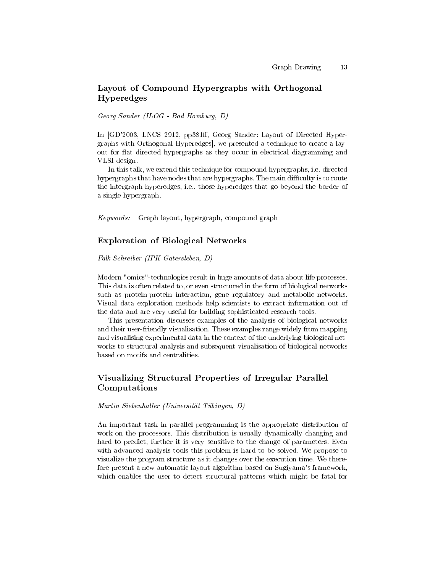# Layout of Compound Hypergraphs with Orthogonal Hyperedges

Georg Sander (ILOG - Bad Homburg, D)

In [GD'2003, LNCS 2912, pp381ff, Georg Sander: Layout of Directed Hypergraphs with Orthogonal Hyperedges], we presented a technique to create a layout for flat directed hypergraphs as they occur in electrical diagramming and VLSI design.

In this talk, we extend this technique for compound hypergraphs, i.e. directed hypergraphs that have nodes that are hypergraphs. The main difficulty is to route the intergraph hyperedges, i.e., those hyperedges that go beyond the border of a single hypergraph.

Keywords: Graph layout, hypergraph, compound graph

# Exploration of Biological Networks

Falk Schreiber (IPK Gatersleben, D)

Modern "omics"-technologies result in huge amounts of data about life processes. This data is often related to, or even structured in the form of biological networks such as protein-protein interaction, gene regulatory and metabolic networks. Visual data exploration methods help scientists to extract information out of the data and are very useful for building sophisticated research tools.

This presentation discusses examples of the analysis of biological networks and their user-friendly visualisation. These examples range widely from mapping and visualising experimental data in the context of the underlying biological networks to structural analysis and subsequent visualisation of biological networks based on motifs and centralities.

# Visualizing Structural Properties of Irregular Parallel Computations

Martin Siebenhaller (Universität Tübingen, D)

An important task in parallel programming is the appropriate distribution of work on the processors. This distribution is usually dynamically changing and hard to predict, further it is very sensitive to the change of parameters. Even with advanced analysis tools this problem is hard to be solved. We propose to visualize the program structure as it changes over the execution time. We therefore present a new automatic layout algorithm based on Sugiyama's framework, which enables the user to detect structural patterns which might be fatal for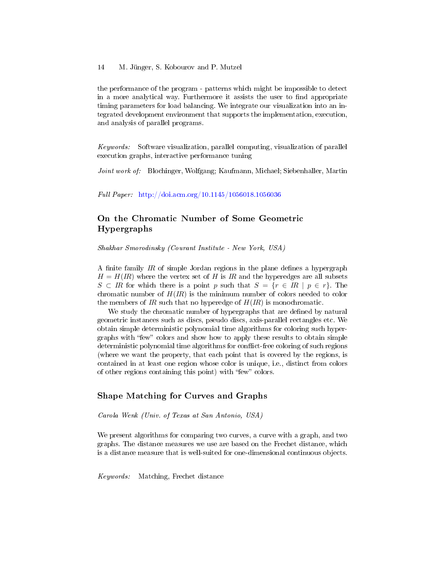#### 14 M. Jünger, S. Kobourov and P. Mutzel

the performance of the program - patterns which might be impossible to detect in a more analytical way. Furthermore it assists the user to find appropriate timing parameters for load balancing. We integrate our visualization into an integrated development environment that supports the implementation, execution, and analysis of parallel programs.

Keywords: Software visualization, parallel computing, visualization of parallel execution graphs, interactive performance tuning

Joint work of: Blochinger, Wolfgang; Kaufmann, Michael; Siebenhaller, Martin

Full Paper: <http://doi.acm.org/10.1145/1056018.1056036>

# On the Chromatic Number of Some Geometric Hypergraphs

Shakhar Smorodinsky (Courant Institute - New York, USA)

A finite family  $IR$  of simple Jordan regions in the plane defines a hypergraph  $H = H(R)$  where the vertex set of H is IR and the hyperedges are all subsets  $S \subset \mathbb{R}$  for which there is a point p such that  $S = \{r \in \mathbb{R} \mid p \in r\}$ . The chromatic number of  $H(IR)$  is the minimum number of colors needed to color the members of IR such that no hyperedge of  $H(IR)$  is monochromatic.

We study the chromatic number of hypergraphs that are defined by natural geometric instances such as discs, pseudo discs, axis-parallel rectangles etc. We obtain simple deterministic polynomial time algorithms for coloring such hypergraphs with "few" colors and show how to apply these results to obtain simple deterministic polynomial time algorithms for conflict-free coloring of such regions (where we want the property, that each point that is covered by the regions, is contained in at least one region whose color is unique, i.e., distinct from colors of other regions containing this point) with "few" colors.

### Shape Matching for Curves and Graphs

Carola Wenk (Univ. of Texas at San Antonio, USA)

We present algorithms for comparing two curves, a curve with a graph, and two graphs. The distance measures we use are based on the Frechet distance, which is a distance measure that is well-suited for one-dimensional continuous objects.

Keywords: Matching, Frechet distance